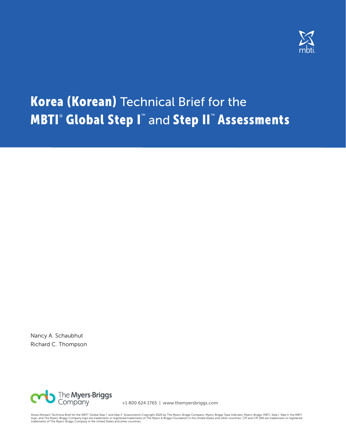

# **Korea (Korean) Technical Brief for the MBTI® Global Step I™** and Step II™ Assessments

Nancy A. Schaubhut Richard C. Thompson



+1 800 624 1765 | www.themyersbriggs.com

*Korea (Korean) Technical Brief for the MBTI*" *Global Step I` and Step II` Assessments* Copyright 2020 by The Myers-Briggs Company. Myers-Briggs Type Indicator, Myers-Briggs, MBTI, Step I, Step II, the MBTI<br>logo, and The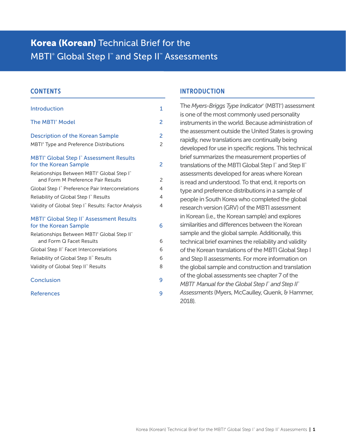## **Korea (Korean)** Technical Brief for the MBTI<sup>®</sup> Global Step I<sup>™</sup> and Step II™ Assessments

#### **CONTENTS**

| Introduction                                                                                    | 1              |
|-------------------------------------------------------------------------------------------------|----------------|
| The MBTI <sup>®</sup> Model                                                                     | $\overline{c}$ |
| <b>Description of the Korean Sample</b>                                                         | 2              |
| MBTI <sup>®</sup> Type and Preference Distributions                                             | $\overline{c}$ |
| <b>MBTI<sup>®</sup></b> Global Step I <sup>™</sup> Assessment Results<br>for the Korean Sample  | 2              |
| Relationships Between MBTI® Global Step I <sup>®</sup>                                          |                |
| and Form M Preference Pair Results                                                              | $\overline{c}$ |
| Global Step I" Preference Pair Intercorrelations                                                | 4              |
| Reliability of Global Step I" Results                                                           | 4              |
| Validity of Global Step I" Results: Factor Analysis                                             | 4              |
| <b>MBTI<sup>®</sup></b> Global Step II <sup>®</sup> Assessment Results<br>for the Korean Sample | 6              |
| Relationships Between MBTI® Global Step II®                                                     |                |
| and Form Q Facet Results                                                                        | 6              |
| Global Step II" Facet Intercorrelations                                                         | 6              |
| Reliability of Global Step II" Results                                                          | 6              |
| Validity of Global Step II" Results                                                             | 8              |
| Conclusion                                                                                      | 9              |
| <b>References</b>                                                                               | 9              |
|                                                                                                 |                |

#### INTRODUCTION

The *Myers-Briggs Type Indicator®* (MBTI® ) assessment is one of the most commonly used personality instruments in the world. Because administration of the assessment outside the United States is growing rapidly, new translations are continually being developed for use in specific regions. This technical brief summarizes the measurement properties of translations of the MBTI Global Step I™ and Step II™ assessments developed for areas where Korean is read and understood. To that end, it reports on type and preference distributions in a sample of people in South Korea who completed the global research version (GRV) of the MBTI assessment in Korean (i.e., the Korean sample) and explores similarities and differences between the Korean sample and the global sample. Additionally, this technical brief examines the reliability and validity of the Korean translations of the MBTI Global Step I and Step II assessments. For more information on the global sample and construction and translation of the global assessments see chapter 7 of the *MBTI® Manual for the Global Step I™ and Step II™ Assessments* (Myers, McCaulley, Quenk, & Hammer, 2018).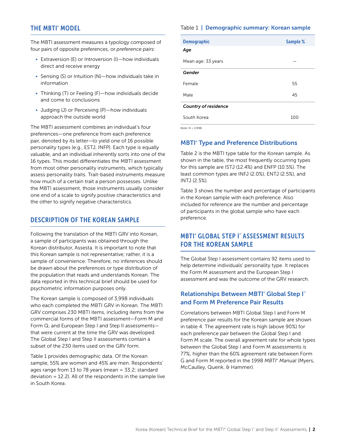## <span id="page-2-0"></span>THE MBTI® MODEL

The MBTI assessment measures a typology composed of four pairs of opposite preferences, or *preference pairs:* 

- Extraversion (E) or Introversion (I)—how individuals direct and receive energy
- Sensing (S) or Intuition (N)—how individuals take in information
- Thinking (T) or Feeling (F)—how individuals decide and come to conclusions
- Judging (J) or Perceiving (P)—how individuals approach the outside world

The MBTI assessment combines an individual's four preferences—one preference from each preference pair, denoted by its letter—to yield one of 16 possible personality types (e.g., ESTJ, INFP). Each type is equally valuable, and an individual inherently sorts into one of the 16 types. This model differentiates the MBTI assessment from most other personality instruments, which typically assess personality traits. Trait-based instruments measure how much of a certain trait a person possesses. Unlike the MBTI assessment, those instruments usually consider one end of a scale to signify positive characteristics and the other to signify negative characteristics.

#### DESCRIPTION OF THE KOREAN SAMPLE

Following the translation of the MBTI GRV into Korean, a sample of participants was obtained through the Korean distributor, Assesta. It is important to note that this Korean sample is not representative; rather, it is a sample of convenience. Therefore, no inferences should be drawn about the preferences or type distribution of the population that reads and understands Korean. The data reported in this technical brief should be used for psychometric information purposes only.

The Korean sample is composed of 3,998 individuals who each completed the MBTI GRV in Korean. The MBTI GRV comprises 230 MBTI items, including items from the commercial forms of the MBTI assessment—Form M and Form Q, and European Step I and Step II assessments that were current at the time the GRV was developed. The Global Step I and Step II assessments contain a subset of the 230 items used on the GRV form.

Table 1 provides demographic data. Of the Korean sample, 55% are women and 45% are men. Respondents' ages range from 13 to 78 years (mean = 33.2; standard deviation = 12.2). All of the respondents in the sample live in South Korea.

#### Table 1 | Demographic summary: Korean sample

| <b>Demographic</b>          | Sample % |
|-----------------------------|----------|
| Age                         |          |
| Mean age: 33 years          |          |
| Gender                      |          |
| Female                      | 55       |
| Male                        | 45       |
| <b>Country of residence</b> |          |
| South Korea                 | 100      |

*Note: N* = 3,998.

#### **MBTI<sup>®</sup> Type and Preference Distributions**

Table 2 is the MBTI type table for the Korean sample. As shown in the table, the most frequently occurring types for this sample are ISTJ (12.4%) and ENFP (10.5%). The least common types are INFJ (2.0%), ENTJ (2.5%), and INTJ (2.5%).

Table 3 shows the number and percentage of participants in the Korean sample with each preference. Also included for reference are the number and percentage of participants in the global sample who have each preference.

## MBTI® GLOBAL STEP I™ ASSESSMENT RESULTS FOR THE KOREAN SAMPLE

The Global Step I assessment contains 92 items used to help determine individuals' personality type. It replaces the Form M assessment and the European Step I assessment and was the outcome of the GRV research.

## Relationships Between MBTI<sup>®</sup> Global Step I<sup>™</sup> and Form M Preference Pair Results

Correlations between MBTI Global Step I and Form M preference pair results for the Korean sample are shown in table 4. The agreement rate is high (above 90%) for each preference pair between the Global Step I and Form M scale. The overall agreement rate for whole types between the Global Step I and Form M assessments is 77%, higher than the 60% agreement rate between Form G and Form M reported in the 1998 *MBTI*® *Manual* (Myers, McCaulley, Quenk, & Hammer).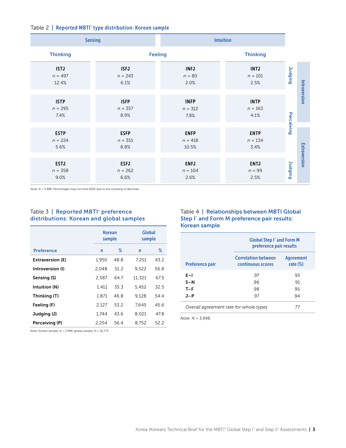#### Table 2 | Reported MBTI® type distribution: Korean sample

|                                   | <b>Sensing</b>                   |                                   | <b>Intuition</b>                 |                 |              |
|-----------------------------------|----------------------------------|-----------------------------------|----------------------------------|-----------------|--------------|
| <b>Thinking</b>                   |                                  | <b>Feeling</b>                    | <b>Thinking</b>                  |                 |              |
| <b>ISTJ</b><br>$n = 497$<br>12.4% | <b>ISFJ</b><br>$n = 243$<br>6.1% | <b>INFJ</b><br>$n=80$<br>2.0%     | <b>INTJ</b><br>$n = 101$<br>2.5% | <b>Judging</b>  |              |
| <b>ISTP</b><br>$n = 295$<br>7.4%  | <b>ISFP</b><br>$n = 357$<br>8.9% | <b>INFP</b><br>$n = 312$<br>7.8%  | <b>INTP</b><br>$n = 163$<br>4.1% |                 | Introversion |
| <b>ESTP</b><br>$n = 224$<br>5.6%  | <b>ESFP</b><br>$n = 351$<br>8.8% | <b>ENFP</b><br>$n = 418$<br>10.5% | <b>ENTP</b><br>$n = 134$<br>3.4% | Perceiving      |              |
| <b>ESTJ</b><br>$n = 358$<br>9.0%  | <b>ESFJ</b><br>$n = 262$<br>6.6% | <b>ENFJ</b><br>$n = 104$<br>2.6%  | <b>ENTJ</b><br>$n = 99$<br>2.5%  | <b>Duripput</b> | Extraversion |

*Note: N* = 3,998. Percentages may not total 100% due to the rounding of decimals.

#### Table 3 | Reported MBTI<sup>®</sup> preference distributions: Korean and global samples

|                         | <b>Korean</b><br>sample |      | Global<br>sample |      |
|-------------------------|-------------------------|------|------------------|------|
| <b>Preference</b>       | $\mathsf{n}$            | ℅    | $\mathbf n$      | ℅    |
| <b>Extraversion (E)</b> | 1.950                   | 48.8 | 7.251            | 43.2 |
| Introversion (I)        | 2.048                   | 51.2 | 9.522            | 56.8 |
| Sensing (S)             | 2.587                   | 64.7 | 11,321           | 67.5 |
| Intuition (N)           | 1.411                   | 35.3 | 5.452            | 32.5 |
| Thinking (T)            | 1.871                   | 46.8 | 9.128            | 54.4 |
| Feeling (F)             | 2,127                   | 53.2 | 7.645            | 45.6 |
| Judging (J)             | 1.744                   | 43.6 | 8.021            | 47.8 |
| Perceiving (P)          | 2,254                   | 56.4 | 8,752            | 52.2 |

### Table 4 | Relationships between MBTI Global Step I™ and Form M preference pair results: Korean sample

|                        | <b>Global Step I<sup>*</sup> and Form M</b><br>preference pair results |                                 |  |
|------------------------|------------------------------------------------------------------------|---------------------------------|--|
| <b>Preference pair</b> | <b>Correlation between</b><br>continuous scores                        | <b>Agreement</b><br>rate $(\%)$ |  |
| $E-1$                  | -97                                                                    | 93                              |  |
| $S-N$                  | .96                                                                    | 91                              |  |
| $T-F$                  | .98                                                                    | 95                              |  |
| J-P                    | -97                                                                    | 94                              |  |
|                        | Overall agreement rate for whole types                                 |                                 |  |

*Note: N* = 3,998.

*Note:* Korean sample, *N* = 3,998; global sample, *N* = 16,773.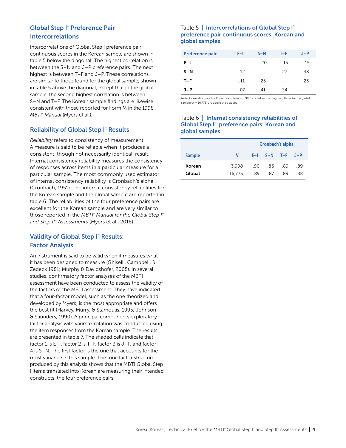## <span id="page-4-0"></span>Global Step I™ Preference Pair Intercorrelations

Intercorrelations of Global Step I preference pair continuous scores in the Korean sample are shown in table 5 below the diagonal. The highest correlation is between the S–N and J–P preference pairs. The next highest is between T–F and J–P. These correlations are similar to those found for the global sample, shown in table 5 above the diagonal, except that in the global sample, the second highest correlation is between S–N and T–F. The Korean sample findings are likewise consistent with those reported for Form M in the 1998 *MBTI*® *Manual* (Myers et al.).

### **Reliability of Global Step I™ Results**

*Reliability* refers to consistency of measurement. A measure is said to be reliable when it produces a consistent, though not necessarily identical, result. Internal consistency reliability measures the consistency of responses across items in a particular measure for a particular sample. The most commonly used estimator of internal consistency reliability is Cronbach's alpha (Cronbach, 1951). The internal consistency reliabilities for the Korean sample and the global sample are reported in table 6. The reliabilities of the four preference pairs are excellent for the Korean sample and are very similar to those reported in the *MBTI® Manual for the Global Step I*<sup>™</sup> *and Step II™ Assessments* (Myers et al., 2018).

## Validity of Global Step I™ Results: Factor Analysis

An instrument is said to be valid when it measures what it has been designed to measure (Ghiselli, Campbell, & Zedeck 1981; Murphy & Davidshofer, 2005). In several studies, confirmatory factor analyses of the MBTI assessment have been conducted to assess the validity of the factors of the MBTI assessment. They have indicated that a four-factor model, such as the one theorized and developed by Myers, is the most appropriate and offers the best fit (Harvey, Murry, & Stamoulis, 1995; Johnson & Saunders, 1990). A principal components exploratory factor analysis with varimax rotation was conducted using the item responses from the Korean sample. The results are presented in table 7. The shaded cells indicate that factor 1 is E–I, factor 2 is T–F, factor 3 is J–P, and factor 4 is S–N. The first factor is the one that accounts for the most variance in this sample. The four-factor structure produced by this analysis shows that the MBTI Global Step I items translated into Korean are measuring their intended constructs, the four preference pairs.

#### Table 5 | Intercorrelations of Global Step I<sup>™</sup> preference pair continuous scores: Korean and global samples

| <b>Preference pair</b> | E-I    | $S-N$  | $T-F$                    | $J-P$  |
|------------------------|--------|--------|--------------------------|--------|
| $E-1$                  |        | $-.20$ | $-15$                    | $-.15$ |
| $S-N$                  | $-.12$ |        | -27                      | .48    |
| $T-F$                  | $-.11$ | .25    | $\overline{\phantom{0}}$ | .23    |
| $J-P$                  | $-07$  | -41    | .34                      |        |

*Note:* Correlations for the Korean sample (*N* = 3,998) are below the diagonal; those for the global sample ( $N = 16,773$ ) are above the diagonal.

#### Table 6 | Internal consistency reliabilities of Global Step I™ preference pairs: Korean and global samples

|                  |                 |            | Cronbach's alpha        |            |            |
|------------------|-----------------|------------|-------------------------|------------|------------|
| <b>Sample</b>    | N               |            | $E-I$ $S-N$ $T-F$ $J-P$ |            |            |
| Korean<br>Global | 3.998<br>16.773 | .90<br>-89 | .86<br>87               | .89<br>-89 | .89<br>.88 |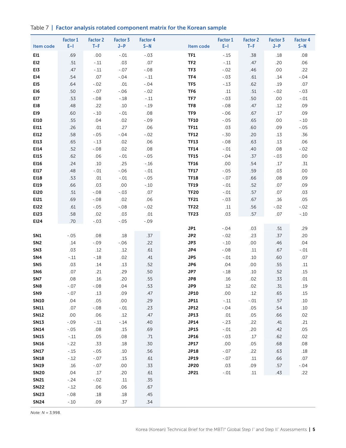|  | Table 7   Factor analysis rotated component matrix for the Korean sample |  |  |  |  |  |  |
|--|--------------------------------------------------------------------------|--|--|--|--|--|--|
|--|--------------------------------------------------------------------------|--|--|--|--|--|--|

| Item code       | <b>Factor 1</b><br>$E-1$ | <b>Factor 2</b><br>$T-F$ | <b>Factor 3</b><br>$J-P$ | <b>Factor 4</b><br>$S-N$ | Item code       | <b>Factor 1</b><br>$E-1$ | <b>Factor 2</b><br>$T-F$ | <b>Factor 3</b><br>$J-P$ | <b>Factor 4</b><br>$S-N$ |
|-----------------|--------------------------|--------------------------|--------------------------|--------------------------|-----------------|--------------------------|--------------------------|--------------------------|--------------------------|
| <b>EI1</b>      | .69                      | .00                      | $-.01$                   | $-.03$                   | TF1             | $-.15$                   | .38                      | .18                      | .08                      |
| EI2             | .51                      | $-.11$                   | .03                      | .07                      | TF <sub>2</sub> | $-.11$                   | .47                      | .20                      | .06                      |
| EI3             | .47                      | $-.11$                   | $-.07$                   | $-.08$                   | TF3             | $-.02$                   | .46                      | .00                      | .22                      |
| E14             | .54                      | .07                      | $-.04$                   | $-.11$                   | TF4             | $-.03$                   | .61                      | .14                      | $-.04$                   |
| EI5             | .64                      | $-.02$                   | $.01\,$                  | $-.04$                   | TF5             | $-.13$                   | .62                      | .19                      | .07                      |
| EI6             | .50                      | $-.07$                   | $-.06$                   | $-.02$                   | TF6             | .11                      | .51                      | $-.02$                   | $-.03$                   |
| EI7             | .53                      | $-.08$                   | $-.18$                   | $-.11$                   | TF7             | $-.03$                   | .50                      | .00.                     | $-.01$                   |
| EI8             | .48                      | .22                      | $.10$                    | $-.19$                   | TF8             | $-.08$                   | .47                      | .12                      | .09                      |
| EI9             | .60                      | $-.10$                   | $-.01$                   | .08                      | TF9             | $-.06$                   | .67                      | $.17\,$                  | .09                      |
| E110            | .55                      | .04                      | .02                      | $-.09$                   | <b>TF10</b>     | $-.05$                   | .65                      | .00                      | $-.10$                   |
| EI11            | .26                      | $.01$                    | .27                      | .06                      | <b>TF11</b>     | .03                      | .60                      | .09                      | $-.05$                   |
| EI12            | .58                      | $-.05$                   | $-.04$                   | $-.02$                   | <b>TF12</b>     | $-.30$                   | .20                      | .13                      | .36                      |
| EI13            | .65                      | $-.13$                   | .02                      | .06                      | <b>TF13</b>     | $-.08$                   | .63                      | .13                      | .06                      |
| EI14            | .52                      | $-.08$                   | .02                      | .08                      | <b>TF14</b>     | $-.01$                   | .40                      | .08                      | $-.02$                   |
| EI15            | .62                      | .06                      | $-.01$                   | $-.05$                   | <b>TF15</b>     | $-.04$                   | .37                      | $-.03$                   | $.00$                    |
| E116            | .24                      | .10                      | .25                      | $-.16$                   | <b>TF16</b>     | .00                      | .54                      | .17                      | .31                      |
| EI17            | .48                      | $-.01$                   | $-.06$                   | $-.01$                   | <b>TF17</b>     | $-.05$                   | .59                      | .03                      | $.00$                    |
| EI18            | .53                      | .01                      | $-.01$                   | $-.05$                   | <b>TF18</b>     | $-.07$                   | .66                      | .08                      | .09                      |
| EI19            | .66                      | .03                      | $.00$                    | $-.10$                   | <b>TF19</b>     | $-.01$                   | .52                      | .07                      | .09                      |
| <b>EI20</b>     | $.51\,$                  | $-.08$                   | $-.03$                   | .07                      | <b>TF20</b>     | $-.01$                   | .57                      | .07                      | .03                      |
| EI21            | .69                      | $-.08$                   | .02                      | .06                      | <b>TF21</b>     | $-.03$                   | .67                      | .16                      | .05                      |
| <b>EI22</b>     | .61                      | $-.05$                   | $-.08$                   | $-.02$                   | <b>TF22</b>     | .11                      | .56                      | $-.02$                   | $-.02$                   |
| <b>EI23</b>     | .58<br>.70               | .02<br>$-.03$            | .03                      | $.01\,$<br>$-.09$        | <b>TF23</b>     | .03                      | .57                      | .07                      | $-.10$                   |
| EI24            |                          |                          | $-.05$                   |                          | JP1             | $-.04$                   | .03                      | .51                      | .29                      |
| SN <sub>1</sub> | $-.05$                   | .08                      | .18                      | .37                      | JP2             | $-.02$                   | .23                      | .37                      | .20                      |
| SN <sub>2</sub> | .14                      | $-.09$                   | $-.06$                   | .22                      | JP3             | $-.10$                   | .00                      | .46                      | .04                      |
| SN <sub>3</sub> | .03                      | .12                      | .12                      | .61                      | JP4             | $-.08$                   | .11                      | .67                      | $-.01$                   |
| SN4             | $-.11$                   | $-.18$                   | .02                      | .41                      | JP5             | $-.01$                   | .10                      | .60                      | .07                      |
| SN <sub>5</sub> | .03                      | .14                      | .13                      | .52                      | JP6             | .04                      | .00                      | .55                      | $.11$                    |
| SN <sub>6</sub> | .07                      | .21                      | .29                      | .50                      | JP7             | $-.18$                   | .10                      | .52                      | .15                      |
| SN7             | .08                      | .16                      | .20                      | .55                      | JP8             | .16                      | .02                      | .33                      | .01                      |
| SN <sub>8</sub> | $-.07$                   | $-.08$                   | .04                      | .53                      | JP9             | .12                      | .02                      | .31                      | .19                      |
| SN <sub>9</sub> | $-.07$                   | .13                      | .09                      | .47                      | <b>JP10</b>     | $.00$                    | .12                      | .65                      | .15                      |
| <b>SN10</b>     | .04                      | .05                      | $.00\,$                  | .29                      | <b>JP11</b>     | $-.11$                   | $-.01$                   | .57                      | $.10\,$                  |
| <b>SN11</b>     | .07                      | $-.08$                   | $-.01$                   | .23                      | JP12            | $-.04$                   | .05                      | .54                      | $.10$                    |
| <b>SN12</b>     | $.00\,$                  | .06                      | .12                      | .47                      | JP13            | $.01\,$                  | .05                      | .66                      | .02                      |
| <b>SN13</b>     | $-.09$                   | $-.11$                   | $-.14$                   | .40                      | JP14            | $-.23$                   | .22                      | .41                      | .21                      |
| <b>SN14</b>     | $-.05$                   | .08                      | .15                      | .69                      | <b>JP15</b>     | $-.01$                   | .20                      | .42                      | .05                      |
| <b>SN15</b>     | $-.11$                   | .05                      | .08                      | .71                      | JP16            | $-.03$                   | $.17$                    | .62                      | .02                      |
| <b>SN16</b>     | $-.22$                   | .33                      | .18                      | .30                      | <b>JP17</b>     | $.00\,$                  | .05                      | .68                      | .08                      |
| <b>SN17</b>     | $-.15$                   | $-.05$                   | .10                      | .56                      | JP18            | $-.07$                   | .22                      | .63                      | $.18$                    |
| <b>SN18</b>     | $-.12$                   | $-.07$                   | .15                      | .61                      | JP19            | $-.07$                   | .11                      | .66                      | .07                      |
| <b>SN19</b>     | .16                      | $-.07$                   | .00                      | .33                      | <b>JP20</b>     | .03                      | .09                      | .57                      | $-.04$                   |
| <b>SN20</b>     | .04                      | .17                      | .20                      | .61                      | <b>JP21</b>     | $-.01$                   | $.11\,$                  | .43                      | .22                      |
| <b>SN21</b>     | $-.24$                   | $-.02$                   | $.11\,$                  | .35                      |                 |                          |                          |                          |                          |
| <b>SN22</b>     | $-.12$                   | .06                      | .06                      | .67                      |                 |                          |                          |                          |                          |
| <b>SN23</b>     | $-.08$                   | $.18\,$                  | $.18\,$                  | .45                      |                 |                          |                          |                          |                          |
| <b>SN24</b>     | $-.10$                   | .09                      | .37                      | .34                      |                 |                          |                          |                          |                          |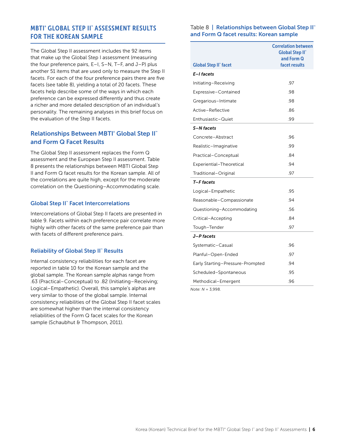## <span id="page-6-0"></span>MBTI® GLOBAL STEP II™ ASSESSMENT RESULTS FOR THE KOREAN SAMPLE

The Global Step II assessment includes the 92 items that make up the Global Step I assessment (measuring the four preference pairs, E–I, S–N, T–F, and J–P) plus another 51 items that are used only to measure the Step II facets. For each of the four preference pairs there are five facets (see table 8), yielding a total of 20 facets. These facets help describe some of the ways in which each preference can be expressed differently and thus create a richer and more detailed description of an individual's personality. The remaining analyses in this brief focus on the evaluation of the Step II facets.

## **Relationships Between MBTI<sup>®</sup> Global Step II<sup>™</sup>** and Form Q Facet Results

The Global Step II assessment replaces the Form Q assessment and the European Step II assessment. Table 8 presents the relationships between MBTI Global Step II and Form Q facet results for the Korean sample. All of the correlations are quite high, except for the moderate correlation on the Questioning–Accommodating scale.

#### Global Step II™ Facet Intercorrelations

Intercorrelations of Global Step II facets are presented in table 9. Facets within each preference pair correlate more highly with other facets of the same preference pair than with facets of different preference pairs.

#### **Reliability of Global Step II™ Results**

Internal consistency reliabilities for each facet are reported in table 10 for the Korean sample and the global sample. The Korean sample alphas range from .63 (Practical–Conceptual) to .82 (Initiating–Receiving; Logical–Empathetic). Overall, this sample's alphas are very similar to those of the global sample. Internal consistency reliabilities of the Global Step II facet scales are somewhat higher than the internal consistency reliabilities of the Form Q facet scales for the Korean sample (Schaubhut & Thompson, 2011).

#### Table 8 | Relationships between Global Step II™ and Form Q facet results: Korean sample

|                                  | <b>Correlation between</b><br><b>Global Step II</b> *<br>and Form Q<br>facet results |
|----------------------------------|--------------------------------------------------------------------------------------|
| <b>Global Step II" facet</b>     |                                                                                      |
| E-I facets                       |                                                                                      |
| Initiating-Receiving             | .97                                                                                  |
| Expressive-Contained             | .98                                                                                  |
| Gregarious-Intimate              | .98                                                                                  |
| Active-Reflective                | .86                                                                                  |
| Enthusiastic-Quiet               | .99                                                                                  |
| S-N facets                       |                                                                                      |
| Concrete-Abstract                | .96                                                                                  |
| Realistic-Imaginative            | .99                                                                                  |
| Practical-Conceptual             | .84                                                                                  |
| Experiential-Theoretical         | .94                                                                                  |
| Traditional-Original             | .97                                                                                  |
| T-F facets                       |                                                                                      |
| Logical-Empathetic               | .95                                                                                  |
| Reasonable-Compassionate         | .94                                                                                  |
| Questioning-Accommodating        | .56                                                                                  |
| Critical-Accepting               | 84                                                                                   |
| Tough-Tender                     | .97                                                                                  |
| J-P facets                       |                                                                                      |
| Systematic-Casual                | .96                                                                                  |
| Planful–Open-Ended               | .97                                                                                  |
| Early Starting–Pressure-Prompted | .94                                                                                  |
| Scheduled-Spontaneous            | .95                                                                                  |
| Methodical-Emergent              | .96                                                                                  |
|                                  |                                                                                      |

*Note: N* = 3,998.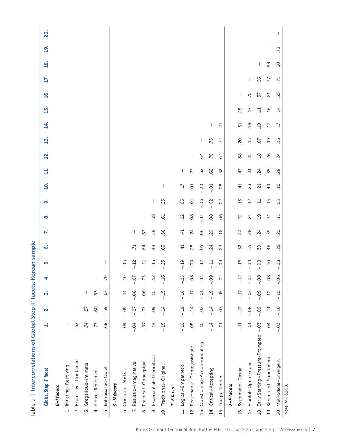| Table 9   Intercorrelations of Global Step II" facets: Korean sample |                 |                         |                |            |                |                 |                 |            |              |                |                 |                 |                |                          |                |                 |                 |                          |                   |     |
|----------------------------------------------------------------------|-----------------|-------------------------|----------------|------------|----------------|-----------------|-----------------|------------|--------------|----------------|-----------------|-----------------|----------------|--------------------------|----------------|-----------------|-----------------|--------------------------|-------------------|-----|
| <b>Global Step II" facet</b>                                         | H               | $\overline{\mathbf{v}}$ | m              |            | μή             | ق               | K               | œ          | ഩ഻           | $\overline{a}$ | ╡               | <u>s</u>        | 15             | 4.                       | 15.            | $\overline{16}$ | 17.             | $\overline{a}$           | $\overline{19}$ . | 20. |
| E-I facets                                                           |                 |                         |                |            |                |                 |                 |            |              |                |                 |                 |                |                          |                |                 |                 |                          |                   |     |
| 1. Initiating-Receiving                                              |                 |                         |                |            |                |                 |                 |            |              |                |                 |                 |                |                          |                |                 |                 |                          |                   |     |
| Expressive-Contained<br>$\overline{a}$                               | 63              |                         |                |            |                |                 |                 |            |              |                |                 |                 |                |                          |                |                 |                 |                          |                   |     |
| 3. Gregarious-Intimate                                               | $\overline{z}$  | 57                      | I              |            |                |                 |                 |            |              |                |                 |                 |                |                          |                |                 |                 |                          |                   |     |
| 4. Active-Reflective                                                 | .73             | O9.                     | .63            |            |                |                 |                 |            |              |                |                 |                 |                |                          |                |                 |                 |                          |                   |     |
| Enthusiastic-Quiet<br>r.                                             | .68             | 59                      | $\overline{6}$ | 70         |                |                 |                 |            |              |                |                 |                 |                |                          |                |                 |                 |                          |                   |     |
| S-N facets                                                           |                 |                         |                |            |                |                 |                 |            |              |                |                 |                 |                |                          |                |                 |                 |                          |                   |     |
| 6. Concrete-Abstract                                                 | $-0.09$         | $-0.09$                 | $-11$          | $-.10$     | $-15$          | I               |                 |            |              |                |                 |                 |                |                          |                |                 |                 |                          |                   |     |
| 7. Realistic-Imaginative                                             | $-0.4$          | $-0$                    | $-0.06$        | $-0$       | $-12$          | $\overline{71}$ |                 |            |              |                |                 |                 |                |                          |                |                 |                 |                          |                   |     |
| Practical-Conceptual<br>$\infty$                                     | $-0$            | $-0$                    | $-06$          | $-0.5$     | $-11$          | 64              | .63             |            |              |                |                 |                 |                |                          |                |                 |                 |                          |                   |     |
| Experiential-Theoretical<br>o,                                       | $\overline{14}$ | 09                      | $\frac{15}{1}$ | $\ddot{5}$ | $-5$           | $\overline{4}$  | 58              | 58         | $\mathbf{I}$ |                |                 |                 |                |                          |                |                 |                 |                          |                   |     |
| 10. Traditional-Original                                             | $-18$           | $-14$                   | $-15$          | $-16$      | $-25$          | 63              | 56              | ପ୍         | 25           |                |                 |                 |                |                          |                |                 |                 |                          |                   |     |
| T-F facets                                                           |                 |                         |                |            |                |                 |                 |            |              |                |                 |                 |                |                          |                |                 |                 |                          |                   |     |
| 11. Logical-Empathetic                                               | $-10$           | $-19$                   | $-.18$         | $-15$      | $-19$          | $\ddot{=}$      | $\dot{4}$       | 22         | O.           | $\ddot{1}$     |                 |                 |                |                          |                |                 |                 |                          |                   |     |
| Reasonable-Compassionate<br>$\frac{2}{3}$                            | $-0.8$          | $-14$                   | $-17$          | $-08$      | $-0.9$         | 28              | $\overline{24}$ | 08         | $-0.1$       | S              | 77              |                 |                |                          |                |                 |                 |                          |                   |     |
| 13. Questioning-Accommodating                                        | $\overline{10}$ | 02                      | $-0.01$        | $\Xi$      | ä              | 05              | 06              | $-11$      | $-0.06$      | $-30$          | 52              | $\overline{6}$  | T              |                          |                |                 |                 |                          |                   |     |
| 14. Critical-Accepting                                               | $-14$           | $-14$                   | $-19$          | $-0.9$     | $-11$          | 24              | 20              | 08         | $-0.2$       | $-0.01$        | 62              | $\overline{C}$  | 75             | $\overline{\phantom{a}}$ |                |                 |                 |                          |                   |     |
| 15. Tough-Tender                                                     | $\overline{C}$  | $-0.5$                  | $-0.5$         | 02         | $\overline{5}$ | 23              | 18              | 06         | 02           | $-08$          | 52              | 64              | $\overline{z}$ | 71                       | $\mathbf{I}$   |                 |                 |                          |                   |     |
| J-P facets                                                           |                 |                         |                |            |                |                 |                 |            |              |                |                 |                 |                |                          |                |                 |                 |                          |                   |     |
| 16. Systematic-Casual                                                | 다<br>-          | $-17$                   | $-17$          | $-12$      | $-16$          | 52              | 44              | -32        | 15           | 41             | $\dot{4}$       | .58             | 20             | $\ddot{5}$               | 28             |                 |                 |                          |                   |     |
| 17. Planful-Open-Ended                                               | S.              | $-0.8$                  | $-0$           | $-0.5$     | $-0.4$         | .35             | 28              | $\ddot{c}$ | $\ddot{5}$   | 23             | $\overline{51}$ | 25              | $-15$          | $\overline{18}$          | Ċ,             | $\overline{C}$  | T               |                          |                   |     |
| 18. Early Starting-Pressure-Prompted                                 | $-0.5$          | $-0.9$                  | $-0.9$         | $-08$      | $-0.8$         | 50              | 24              | $\ddot{5}$ | $\exists$    | $\ddot{5}$     | $\overline{24}$ | $\overline{18}$ | O.             | $\overline{c}$           | 늭              | 57              | 66              | $\overline{\phantom{a}}$ |                   |     |
| 19. Scheduled-Spontaneous                                            | $-0.4$          | $-11$                   | $-10$          | $-08$      | $-10$          | 46              | 59              | $\ddot{5}$ | 15           | $rac{1}{4}$    | .35             | 26              | 09             | Ċ.                       | $\overline{5}$ | $\overline{8}$  | 77              | 64                       |                   |     |
| 20. Methodical-Emergent                                              | $-0.5$          | $-10$                   | $-10$          | $-06$      | $-08$          | .25             | 20              | Ë          | 05           | $\overline{5}$ | 28              | $\overline{24}$ | $\overline{5}$ | Ë.                       | $\overline{4}$ | 65              | $\overline{71}$ | O9                       | P.                |     |
| Note: $N = 3,998$ .                                                  |                 |                         |                |            |                |                 |                 |            |              |                |                 |                 |                |                          |                |                 |                 |                          |                   |     |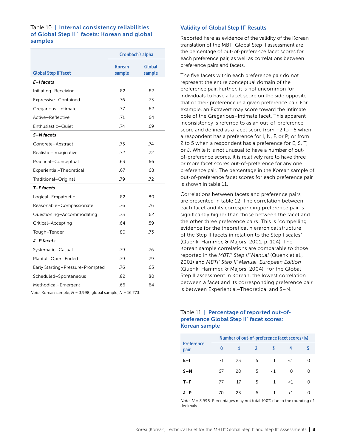#### <span id="page-8-0"></span>Table 10 | Internal consistency reliabilities of Global Step II™ facets: Korean and global samples

|                                  |                         | <b>Cronbach's alpha</b> |
|----------------------------------|-------------------------|-------------------------|
| <b>Global Step II" facet</b>     | <b>Korean</b><br>sample | Global<br>sample        |
| E-I facets                       |                         |                         |
| Initiating-Receiving             | .82                     | .82                     |
| Expressive-Contained             | .76                     | .73                     |
| Gregarious-Intimate              | .77                     | .62                     |
| Active-Reflective                | .71                     | .64                     |
| Enthusiastic-Quiet               | .74                     | .69                     |
| S-N facets                       |                         |                         |
| Concrete-Abstract                | .75                     | .74                     |
| Realistic-Imaginative            | .72                     | .72                     |
| Practical-Conceptual             | .63                     | .66                     |
| Experiential-Theoretical         | .67                     | .68                     |
| Traditional-Original             | .79                     | .72                     |
| T-F facets                       |                         |                         |
| Logical-Empathetic               | .82                     | .80                     |
| Reasonable-Compassionate         | .76                     | .76                     |
| Questioning-Accommodating        | .73                     | .62                     |
| Critical-Accepting               | .64                     | .59                     |
| Tough-Tender                     | .80                     | .73                     |
| J-P facets                       |                         |                         |
| Systematic-Casual                | .79                     | .76                     |
| Planful-Open-Ended               | .79                     | .79                     |
| Early Starting-Pressure-Prompted | .76                     | .65                     |
| Scheduled-Spontaneous            | .82                     | .80                     |
| Methodical-Emergent              | .66                     | .64                     |

*Note:* Korean sample, *N* = 3,998; global sample, *N* = 16,773.

#### Validity of Global Step II™ Results

Reported here as evidence of the validity of the Korean translation of the MBTI Global Step II assessment are the percentage of out-of-preference facet scores for each preference pair, as well as correlations between preference pairs and facets.

The five facets within each preference pair do not represent the entire conceptual domain of the preference pair. Further, it is not uncommon for individuals to have a facet score on the side opposite that of their preference in a given preference pair. For example, an Extravert may score toward the Intimate pole of the Gregarious–Intimate facet. This apparent inconsistency is referred to as an out-of-preference score and defined as a facet score from –2 to –5 when a respondent has a preference for I, N, F, or P; or from 2 to 5 when a respondent has a preference for E, S, T, or J. While it is not unusual to have a number of outof-preference scores, it is relatively rare to have three or more facet scores out-of-preference for any one preference pair. The percentage in the Korean sample of out-of-preference facet scores for each preference pair is shown in table 11.

Correlations between facets and preference pairs are presented in table 12. The correlation between each facet and its corresponding preference pair is significantly higher than those between the facet and the other three preference pairs. This is "compelling evidence for the theoretical hierarchical structure of the Step II facets in relation to the Step I scales" (Quenk, Hammer, & Majors, 2001, p. 104). The Korean sample correlations are comparable to those reported in the *MBTI® Step II™ Manual* (Quenk et al., 2001) and *MBTI® Step II™ Manual, European Edition*  (Quenk, Hammer, & Majors, 2004). For the Global Step II assessment in Korean, the lowest correlation between a facet and its corresponding preference pair is between Experiential–Theoretical and S–N.

#### Table 11 | Percentage of reported out-ofpreference Global Step II™ facet scores: Korean sample

|                           |    |    | Number of out-of-preference facet scores (%) |              |        |          |  |
|---------------------------|----|----|----------------------------------------------|--------------|--------|----------|--|
| <b>Preference</b><br>pair | 0  |    | 2                                            | 3            | 4      | 5        |  |
| $E-1$                     | 71 | 23 | 5                                            | 1            | $<$ 1  | $\Omega$ |  |
| $S-N$                     | 67 | 28 | 5                                            | $<$ 1        | 0      | ∩        |  |
| $T-F$                     | 77 | 17 | 5                                            | $\mathbf{1}$ | $<$ 1  | 0        |  |
| J-P                       | 70 | 23 | 6                                            | 1            | ${<}1$ |          |  |

*Note: N* = 3,998. Percentages may not total 100% due to the rounding of decimals.